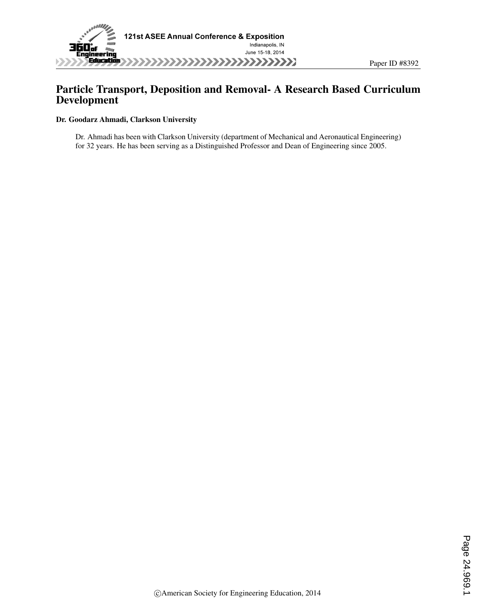

# Particle Transport, Deposition and Removal- A Research Based Curriculum Development

#### Dr. Goodarz Ahmadi, Clarkson University

Dr. Ahmadi has been with Clarkson University (department of Mechanical and Aeronautical Engineering) for 32 years. He has been serving as a Distinguished Professor and Dean of Engineering since 2005.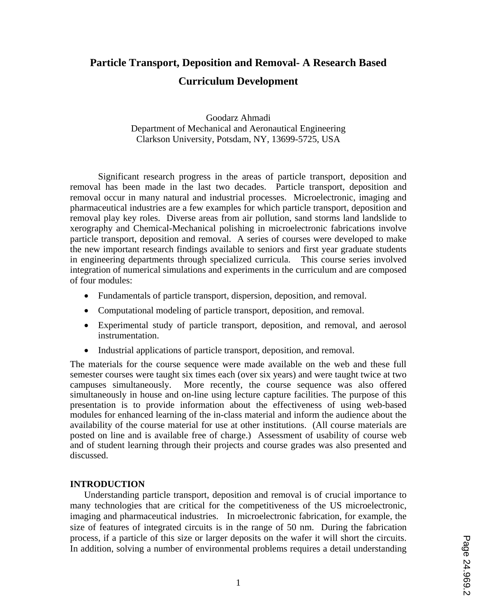# **Particle Transport, Deposition and Removal- A Research Based Curriculum Development**

Goodarz Ahmadi Department of Mechanical and Aeronautical Engineering Clarkson University, Potsdam, NY, 13699-5725, USA

Significant research progress in the areas of particle transport, deposition and removal has been made in the last two decades. Particle transport, deposition and removal occur in many natural and industrial processes. Microelectronic, imaging and pharmaceutical industries are a few examples for which particle transport, deposition and removal play key roles. Diverse areas from air pollution, sand storms land landslide to xerography and Chemical-Mechanical polishing in microelectronic fabrications involve particle transport, deposition and removal. A series of courses were developed to make the new important research findings available to seniors and first year graduate students in engineering departments through specialized curricula. This course series involved integration of numerical simulations and experiments in the curriculum and are composed of four modules:

- Fundamentals of particle transport, dispersion, deposition, and removal.
- Computational modeling of particle transport, deposition, and removal.
- Experimental study of particle transport, deposition, and removal, and aerosol instrumentation.
- Industrial applications of particle transport, deposition, and removal.

The materials for the course sequence were made available on the web and these full semester courses were taught six times each (over six years) and were taught twice at two campuses simultaneously. More recently, the course sequence was also offered simultaneously in house and on-line using lecture capture facilities. The purpose of this presentation is to provide information about the effectiveness of using web-based modules for enhanced learning of the in-class material and inform the audience about the availability of the course material for use at other institutions. (All course materials are posted on line and is available free of charge.) Assessment of usability of course web and of student learning through their projects and course grades was also presented and discussed.

#### **INTRODUCTION**

Understanding particle transport, deposition and removal is of crucial importance to many technologies that are critical for the competitiveness of the US microelectronic, imaging and pharmaceutical industries. In microelectronic fabrication, for example, the size of features of integrated circuits is in the range of 50 nm. During the fabrication process, if a particle of this size or larger deposits on the wafer it will short the circuits. In addition, solving a number of environmental problems requires a detail understanding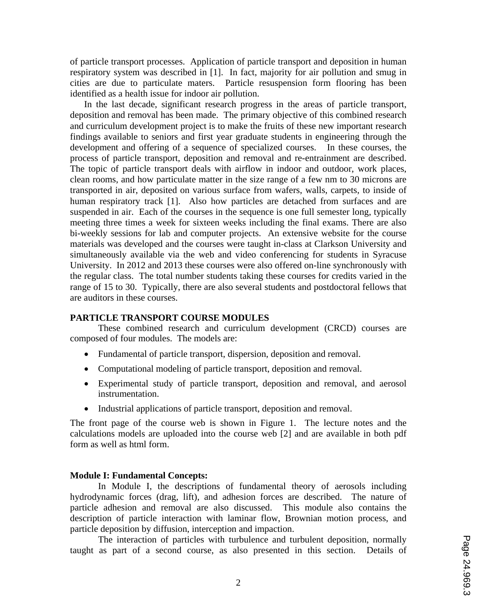of particle transport processes. Application of particle transport and deposition in human respiratory system was described in [1]. In fact, majority for air pollution and smug in cities are due to particulate maters. Particle resuspension form flooring has been identified as a health issue for indoor air pollution.

In the last decade, significant research progress in the areas of particle transport, deposition and removal has been made. The primary objective of this combined research and curriculum development project is to make the fruits of these new important research findings available to seniors and first year graduate students in engineering through the development and offering of a sequence of specialized courses. In these courses, the process of particle transport, deposition and removal and re-entrainment are described. The topic of particle transport deals with airflow in indoor and outdoor, work places, clean rooms, and how particulate matter in the size range of a few nm to 30 microns are transported in air, deposited on various surface from wafers, walls, carpets, to inside of human respiratory track [1]. Also how particles are detached from surfaces and are suspended in air. Each of the courses in the sequence is one full semester long, typically meeting three times a week for sixteen weeks including the final exams. There are also bi-weekly sessions for lab and computer projects. An extensive website for the course materials was developed and the courses were taught in-class at Clarkson University and simultaneously available via the web and video conferencing for students in Syracuse University. In 2012 and 2013 these courses were also offered on-line synchronously with the regular class. The total number students taking these courses for credits varied in the range of 15 to 30. Typically, there are also several students and postdoctoral fellows that are auditors in these courses.

#### **PARTICLE TRANSPORT COURSE MODULES**

These combined research and curriculum development (CRCD) courses are composed of four modules. The models are:

- Fundamental of particle transport, dispersion, deposition and removal.
- Computational modeling of particle transport, deposition and removal.
- Experimental study of particle transport, deposition and removal, and aerosol instrumentation.
- Industrial applications of particle transport, deposition and removal.

The front page of the course web is shown in Figure 1. The lecture notes and the calculations models are uploaded into the course web [2] and are available in both pdf form as well as html form.

#### **Module I: Fundamental Concepts:**

In Module I, the descriptions of fundamental theory of aerosols including hydrodynamic forces (drag, lift), and adhesion forces are described. The nature of particle adhesion and removal are also discussed. This module also contains the description of particle interaction with laminar flow, Brownian motion process, and particle deposition by diffusion, interception and impaction.

The interaction of particles with turbulence and turbulent deposition, normally taught as part of a second course, as also presented in this section. Details of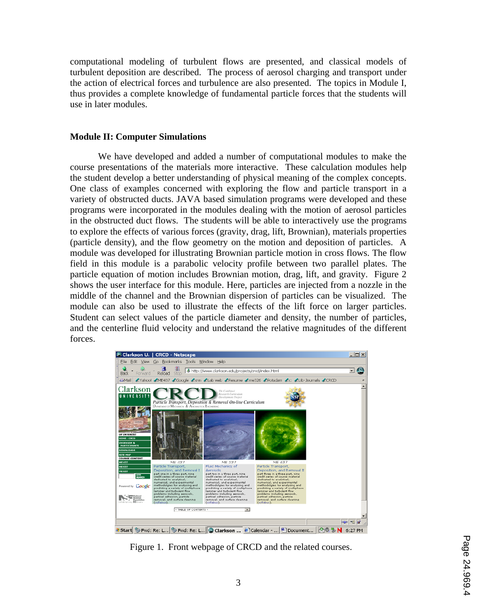computational modeling of turbulent flows are presented, and classical models of turbulent deposition are described. The process of aerosol charging and transport under the action of electrical forces and turbulence are also presented. The topics in Module I, thus provides a complete knowledge of fundamental particle forces that the students will use in later modules.

#### **Module II: Computer Simulations**

We have developed and added a number of computational modules to make the course presentations of the materials more interactive. These calculation modules help the student develop a better understanding of physical meaning of the complex concepts. One class of examples concerned with exploring the flow and particle transport in a variety of obstructed ducts. JAVA based simulation programs were developed and these programs were incorporated in the modules dealing with the motion of aerosol particles in the obstructed duct flows. The students will be able to interactively use the programs to explore the effects of various forces (gravity, drag, lift, Brownian), materials properties (particle density), and the flow geometry on the motion and deposition of particles. A module was developed for illustrating Brownian particle motion in cross flows. The flow field in this module is a parabolic velocity profile between two parallel plates. The particle equation of motion includes Brownian motion, drag, lift, and gravity. Figure 2 shows the user interface for this module. Here, particles are injected from a nozzle in the middle of the channel and the Brownian dispersion of particles can be visualized. The module can also be used to illustrate the effects of the lift force on larger particles. Student can select values of the particle diameter and density, the number of particles, and the centerline fluid velocity and understand the relative magnitudes of the different forces.



Figure 1. Front webpage of CRCD and the related courses.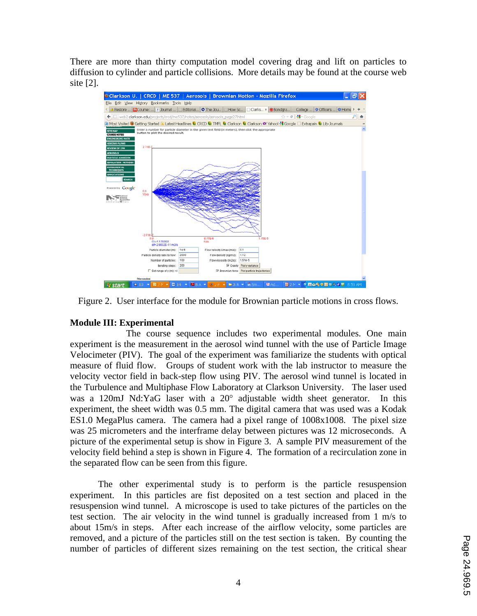There are more than thirty computation model covering drag and lift on particles to diffusion to cylinder and particle collisions. More details may be found at the course web site [2].



Figure 2. User interface for the module for Brownian particle motions in cross flows.

## **Module III: Experimental**

 The course sequence includes two experimental modules. One main experiment is the measurement in the aerosol wind tunnel with the use of Particle Image Velocimeter (PIV). The goal of the experiment was familiarize the students with optical measure of fluid flow. Groups of student work with the lab instructor to measure the velocity vector field in back-step flow using PIV. The aerosol wind tunnel is located in the Turbulence and Multiphase Flow Laboratory at Clarkson University. The laser used was a 120mJ Nd:YaG laser with a  $20^{\circ}$  adjustable width sheet generator. In this experiment, the sheet width was 0.5 mm. The digital camera that was used was a Kodak ES1.0 MegaPlus camera. The camera had a pixel range of 1008x1008. The pixel size was 25 micrometers and the interframe delay between pictures was 12 microseconds. A picture of the experimental setup is show in Figure 3. A sample PIV measurement of the velocity field behind a step is shown in Figure 4. The formation of a recirculation zone in the separated flow can be seen from this figure.

The other experimental study is to perform is the particle resuspension experiment. In this particles are fist deposited on a test section and placed in the resuspension wind tunnel. A microscope is used to take pictures of the particles on the test section. The air velocity in the wind tunnel is gradually increased from 1 m/s to about 15m/s in steps. After each increase of the airflow velocity, some particles are removed, and a picture of the particles still on the test section is taken. By counting the number of particles of different sizes remaining on the test section, the critical shear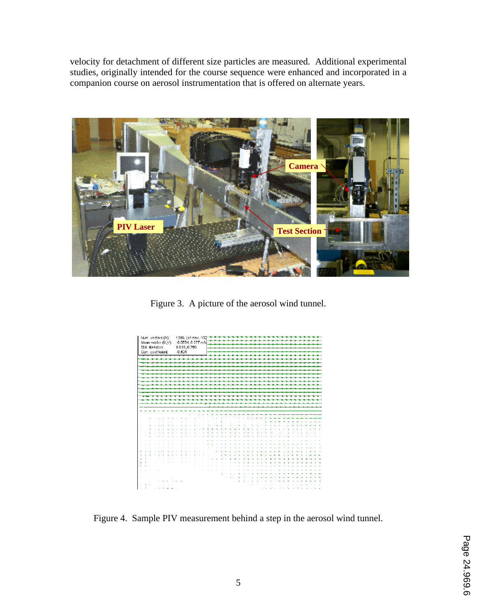velocity for detachment of different size particles are measured. Additional experimental studies, originally intended for the course sequence were enhanced and incorporated in a companion course on aerosol instrumentation that is offered on alternate years.



Figure 3. A picture of the aerosol wind tunnel.



Figure 4. Sample PIV measurement behind a step in the aerosol wind tunnel.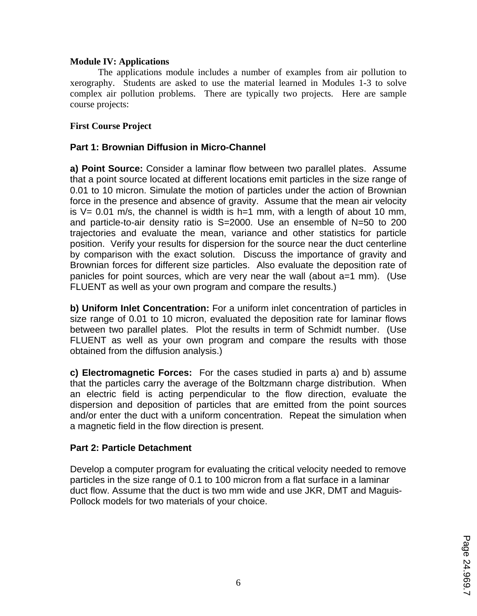## **Module IV: Applications**

 The applications module includes a number of examples from air pollution to xerography. Students are asked to use the material learned in Modules 1-3 to solve complex air pollution problems. There are typically two projects. Here are sample course projects:

## **First Course Project**

## **Part 1: Brownian Diffusion in Micro-Channel**

**a) Point Source:** Consider a laminar flow between two parallel plates. Assume that a point source located at different locations emit particles in the size range of 0.01 to 10 micron. Simulate the motion of particles under the action of Brownian force in the presence and absence of gravity. Assume that the mean air velocity is  $V= 0.01$  m/s, the channel is width is h=1 mm, with a length of about 10 mm, and particle-to-air density ratio is S=2000. Use an ensemble of N=50 to 200 trajectories and evaluate the mean, variance and other statistics for particle position. Verify your results for dispersion for the source near the duct centerline by comparison with the exact solution. Discuss the importance of gravity and Brownian forces for different size particles. Also evaluate the deposition rate of panicles for point sources, which are very near the wall (about a=1 mm). (Use FLUENT as well as your own program and compare the results.)

**b) Uniform Inlet Concentration:** For a uniform inlet concentration of particles in size range of 0.01 to 10 micron, evaluated the deposition rate for laminar flows between two parallel plates. Plot the results in term of Schmidt number. (Use FLUENT as well as your own program and compare the results with those obtained from the diffusion analysis.)

**c) Electromagnetic Forces:** For the cases studied in parts a) and b) assume that the particles carry the average of the Boltzmann charge distribution. When an electric field is acting perpendicular to the flow direction, evaluate the dispersion and deposition of particles that are emitted from the point sources and/or enter the duct with a uniform concentration. Repeat the simulation when a magnetic field in the flow direction is present.

## **Part 2: Particle Detachment**

Develop a computer program for evaluating the critical velocity needed to remove particles in the size range of 0.1 to 100 micron from a flat surface in a laminar duct flow. Assume that the duct is two mm wide and use JKR, DMT and Maguis-Pollock models for two materials of your choice.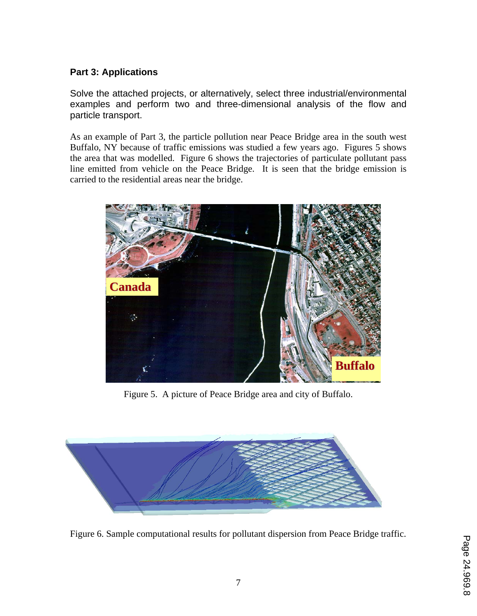# **Part 3: Applications**

Solve the attached projects, or alternatively, select three industrial/environmental examples and perform two and three-dimensional analysis of the flow and particle transport.

As an example of Part 3, the particle pollution near Peace Bridge area in the south west Buffalo, NY because of traffic emissions was studied a few years ago. Figures 5 shows the area that was modelled. Figure 6 shows the trajectories of particulate pollutant pass line emitted from vehicle on the Peace Bridge. It is seen that the bridge emission is carried to the residential areas near the bridge.



Figure 5. A picture of Peace Bridge area and city of Buffalo.



Figure 6. Sample computational results for pollutant dispersion from Peace Bridge traffic.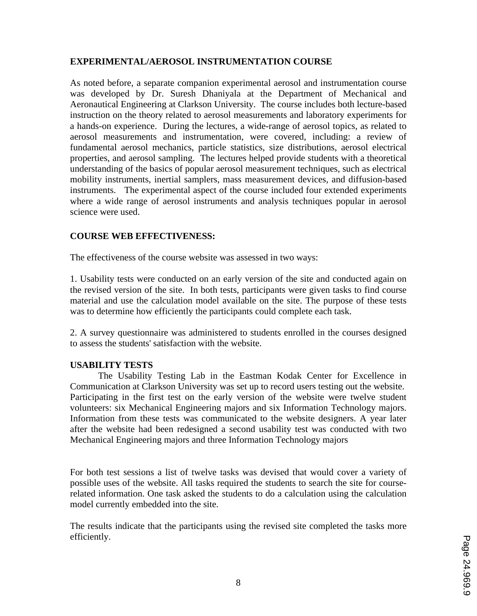## **EXPERIMENTAL/AEROSOL INSTRUMENTATION COURSE**

As noted before, a separate companion experimental aerosol and instrumentation course was developed by Dr. Suresh Dhaniyala at the Department of Mechanical and Aeronautical Engineering at Clarkson University. The course includes both lecture-based instruction on the theory related to aerosol measurements and laboratory experiments for a hands-on experience. During the lectures, a wide-range of aerosol topics, as related to aerosol measurements and instrumentation, were covered, including: a review of fundamental aerosol mechanics, particle statistics, size distributions, aerosol electrical properties, and aerosol sampling. The lectures helped provide students with a theoretical understanding of the basics of popular aerosol measurement techniques, such as electrical mobility instruments, inertial samplers, mass measurement devices, and diffusion-based instruments. The experimental aspect of the course included four extended experiments where a wide range of aerosol instruments and analysis techniques popular in aerosol science were used.

## **COURSE WEB EFFECTIVENESS:**

The effectiveness of the course website was assessed in two ways:

1. Usability tests were conducted on an early version of the site and conducted again on the revised version of the site. In both tests, participants were given tasks to find course material and use the calculation model available on the site. The purpose of these tests was to determine how efficiently the participants could complete each task.

2. A survey questionnaire was administered to students enrolled in the courses designed to assess the students' satisfaction with the website.

## **USABILITY TESTS**

The Usability Testing Lab in the Eastman Kodak Center for Excellence in Communication at Clarkson University was set up to record users testing out the website. Participating in the first test on the early version of the website were twelve student volunteers: six Mechanical Engineering majors and six Information Technology majors. Information from these tests was communicated to the website designers. A year later after the website had been redesigned a second usability test was conducted with two Mechanical Engineering majors and three Information Technology majors

For both test sessions a list of twelve tasks was devised that would cover a variety of possible uses of the website. All tasks required the students to search the site for courserelated information. One task asked the students to do a calculation using the calculation model currently embedded into the site.

The results indicate that the participants using the revised site completed the tasks more efficiently.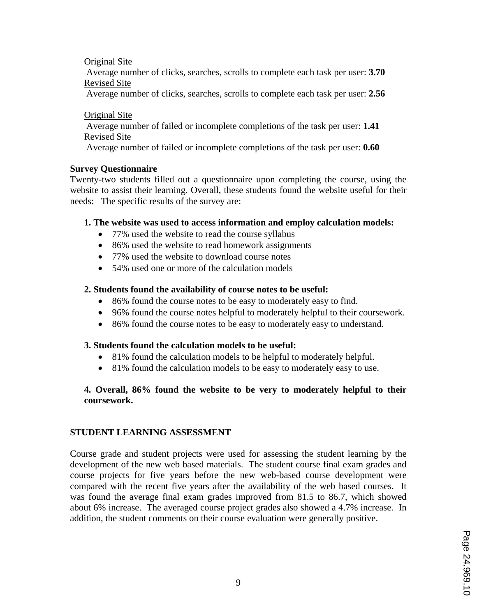Original Site Average number of clicks, searches, scrolls to complete each task per user: **3.70** Revised Site

Average number of clicks, searches, scrolls to complete each task per user: **2.56**

Original Site Average number of failed or incomplete completions of the task per user: **1.41** Revised Site

Average number of failed or incomplete completions of the task per user: **0.60**

## **Survey Questionnaire**

Twenty-two students filled out a questionnaire upon completing the course, using the website to assist their learning. Overall, these students found the website useful for their needs: The specific results of the survey are:

## **1. The website was used to access information and employ calculation models:**

- 77% used the website to read the course syllabus
- 86% used the website to read homework assignments
- 77% used the website to download course notes
- 54% used one or more of the calculation models

## **2. Students found the availability of course notes to be useful:**

- 86% found the course notes to be easy to moderately easy to find.
- 96% found the course notes helpful to moderately helpful to their coursework.
- 86% found the course notes to be easy to moderately easy to understand.

## **3. Students found the calculation models to be useful:**

- 81% found the calculation models to be helpful to moderately helpful.
- 81% found the calculation models to be easy to moderately easy to use.

## **4. Overall, 86% found the website to be very to moderately helpful to their coursework.**

## **STUDENT LEARNING ASSESSMENT**

Course grade and student projects were used for assessing the student learning by the development of the new web based materials. The student course final exam grades and course projects for five years before the new web-based course development were compared with the recent five years after the availability of the web based courses. It was found the average final exam grades improved from 81.5 to 86.7, which showed about 6% increase. The averaged course project grades also showed a 4.7% increase. In addition, the student comments on their course evaluation were generally positive.